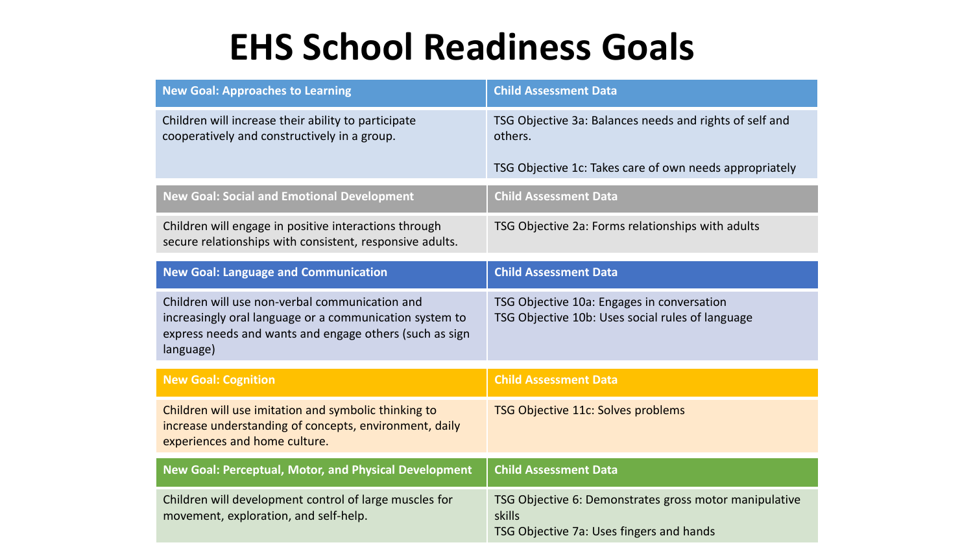## **EHS School Readiness Goals**

| <b>New Goal: Approaches to Learning</b>                                                                                                                                           | <b>Child Assessment Data</b>                                                                                 |
|-----------------------------------------------------------------------------------------------------------------------------------------------------------------------------------|--------------------------------------------------------------------------------------------------------------|
| Children will increase their ability to participate<br>cooperatively and constructively in a group.                                                                               | TSG Objective 3a: Balances needs and rights of self and<br>others.                                           |
|                                                                                                                                                                                   | TSG Objective 1c: Takes care of own needs appropriately                                                      |
| <b>New Goal: Social and Emotional Development</b>                                                                                                                                 | <b>Child Assessment Data</b>                                                                                 |
| Children will engage in positive interactions through<br>secure relationships with consistent, responsive adults.                                                                 | TSG Objective 2a: Forms relationships with adults                                                            |
| <b>New Goal: Language and Communication</b>                                                                                                                                       | <b>Child Assessment Data</b>                                                                                 |
| Children will use non-verbal communication and<br>increasingly oral language or a communication system to<br>express needs and wants and engage others (such as sign<br>language) | TSG Objective 10a: Engages in conversation<br>TSG Objective 10b: Uses social rules of language               |
| <b>New Goal: Cognition</b>                                                                                                                                                        | <b>Child Assessment Data</b>                                                                                 |
| Children will use imitation and symbolic thinking to<br>increase understanding of concepts, environment, daily<br>experiences and home culture.                                   | TSG Objective 11c: Solves problems                                                                           |
| New Goal: Perceptual, Motor, and Physical Development                                                                                                                             | <b>Child Assessment Data</b>                                                                                 |
| Children will development control of large muscles for<br>movement, exploration, and self-help.                                                                                   | TSG Objective 6: Demonstrates gross motor manipulative<br>skills<br>TSG Objective 7a: Uses fingers and hands |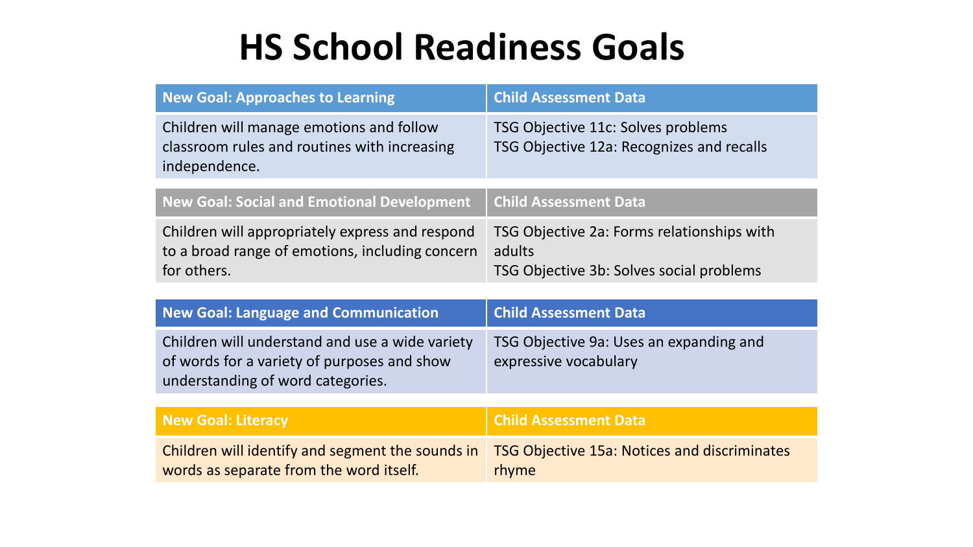## **HS School Readiness Goals**

| <b>New Goal: Approaches to Learning</b>                                                                                             | <b>Child Assessment Data</b>                                                                     |
|-------------------------------------------------------------------------------------------------------------------------------------|--------------------------------------------------------------------------------------------------|
| Children will manage emotions and follow<br>classroom rules and routines with increasing<br>independence.                           | TSG Objective 11c: Solves problems<br>TSG Objective 12a: Recognizes and recalls                  |
| <b>New Goal: Social and Emotional Development</b>                                                                                   | <b>Child Assessment Data</b>                                                                     |
| Children will appropriately express and respond<br>to a broad range of emotions, including concern<br>for others.                   | TSG Objective 2a: Forms relationships with<br>adults<br>TSG Objective 3b: Solves social problems |
| <b>New Goal: Language and Communication</b>                                                                                         | <b>Child Assessment Data</b>                                                                     |
| Children will understand and use a wide variety<br>of words for a variety of purposes and show<br>understanding of word categories. | TSG Objective 9a: Uses an expanding and<br>expressive vocabulary                                 |
| <b>New Goal: Literacy</b>                                                                                                           | <b>Child Assessment Data</b>                                                                     |
| Children will identify and segment the sounds in<br>words as separate from the word itself.                                         | <b>TSG Objective 15a: Notices and discriminates</b><br>rhyme                                     |